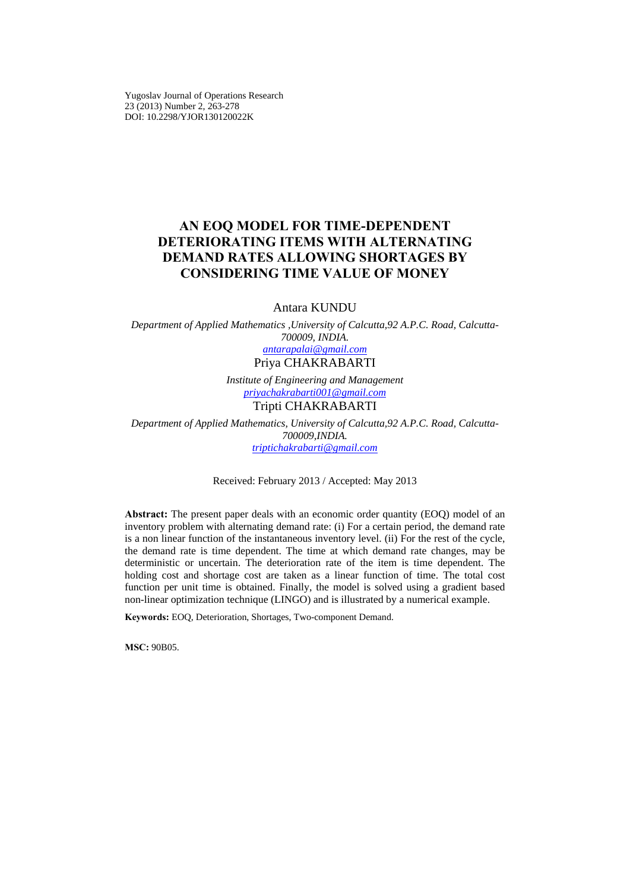Yugoslav Journal of Operations Research 23 (2013) Number 2, 263-278 DOI: 10.2298/YJOR130120022K

# **AN EOQ MODEL FOR TIME-DEPENDENT DETERIORATING ITEMS WITH ALTERNATING DEMAND RATES ALLOWING SHORTAGES BY CONSIDERING TIME VALUE OF MONEY**

## Antara KUNDU

*Department of Applied Mathematics ,University of Calcutta,92 A.P.C. Road, Calcutta-700009, INDIA. antarapalai@gmail.com* Priya CHAKRABARTI

> *Institute of Engineering and Management priyachakrabarti001@gmail.com* Tripti CHAKRABARTI

*Department of Applied Mathematics, University of Calcutta,92 A.P.C. Road, Calcutta-700009,INDIA. triptichakrabarti@gmail.com*

Received: February 2013 / Accepted: May 2013

**Abstract:** The present paper deals with an economic order quantity (EOQ) model of an inventory problem with alternating demand rate: (i) For a certain period, the demand rate is a non linear function of the instantaneous inventory level. (ii) For the rest of the cycle, the demand rate is time dependent. The time at which demand rate changes, may be deterministic or uncertain. The deterioration rate of the item is time dependent. The holding cost and shortage cost are taken as a linear function of time. The total cost function per unit time is obtained. Finally, the model is solved using a gradient based non-linear optimization technique (LINGO) and is illustrated by a numerical example.

**Keywords:** EOQ, Deterioration, Shortages, Two-component Demand.

**МSC:** 90B05.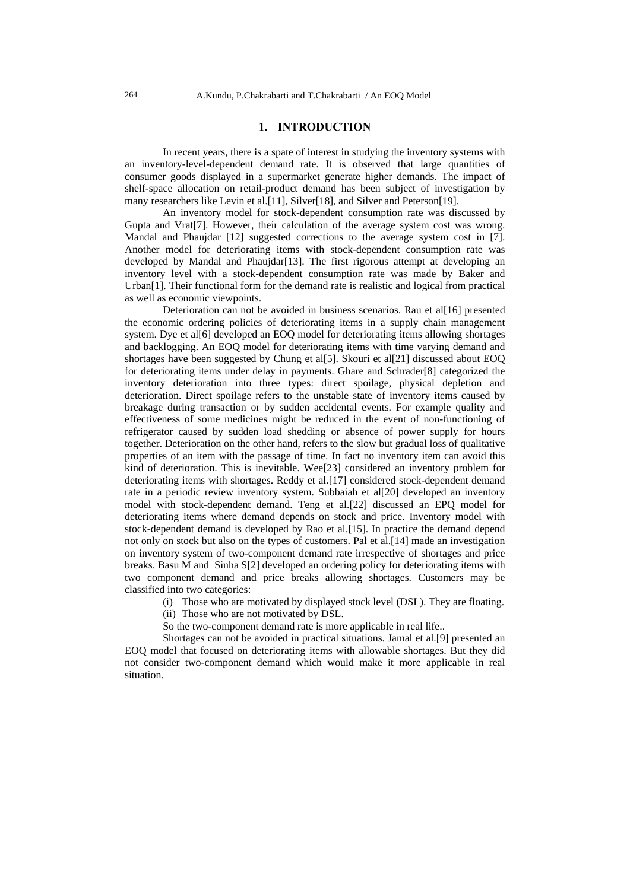### **1. INTRODUCTION**

In recent years, there is a spate of interest in studying the inventory systems with an inventory-level-dependent demand rate. It is observed that large quantities of consumer goods displayed in a supermarket generate higher demands. The impact of shelf-space allocation on retail-product demand has been subject of investigation by many researchers like Levin et al.[11], Silver[18], and Silver and Peterson[19].

An inventory model for stock-dependent consumption rate was discussed by Gupta and Vrat[7]. However, their calculation of the average system cost was wrong. Mandal and Phaujdar [12] suggested corrections to the average system cost in [7]. Another model for deteriorating items with stock-dependent consumption rate was developed by Mandal and Phaujdar<sup>[13]</sup>. The first rigorous attempt at developing an inventory level with a stock-dependent consumption rate was made by Baker and Urban<sup>[1]</sup>. Their functional form for the demand rate is realistic and logical from practical as well as economic viewpoints.

Deterioration can not be avoided in business scenarios. Rau et al[16] presented the economic ordering policies of deteriorating items in a supply chain management system. Dye et all 6] developed an EOQ model for deteriorating items allowing shortages and backlogging. An EOQ model for deteriorating items with time varying demand and shortages have been suggested by Chung et al[5]. Skouri et al[21] discussed about EOQ for deteriorating items under delay in payments. Ghare and Schrader[8] categorized the inventory deterioration into three types: direct spoilage, physical depletion and deterioration. Direct spoilage refers to the unstable state of inventory items caused by breakage during transaction or by sudden accidental events. For example quality and effectiveness of some medicines might be reduced in the event of non-functioning of refrigerator caused by sudden load shedding or absence of power supply for hours together. Deterioration on the other hand, refers to the slow but gradual loss of qualitative properties of an item with the passage of time. In fact no inventory item can avoid this kind of deterioration. This is inevitable. Wee[23] considered an inventory problem for deteriorating items with shortages. Reddy et al.[17] considered stock-dependent demand rate in a periodic review inventory system. Subbaiah et al[20] developed an inventory model with stock-dependent demand. Teng et al.[22] discussed an EPQ model for deteriorating items where demand depends on stock and price. Inventory model with stock-dependent demand is developed by Rao et al.[15]. In practice the demand depend not only on stock but also on the types of customers. Pal et al.[14] made an investigation on inventory system of two-component demand rate irrespective of shortages and price breaks. Basu M and Sinha S[2] developed an ordering policy for deteriorating items with two component demand and price breaks allowing shortages. Customers may be classified into two categories:

(i) Those who are motivated by displayed stock level (DSL). They are floating.

- (ii) Those who are not motivated by DSL.
- So the two-component demand rate is more applicable in real life..

Shortages can not be avoided in practical situations. Jamal et al.[9] presented an EOQ model that focused on deteriorating items with allowable shortages. But they did not consider two-component demand which would make it more applicable in real situation.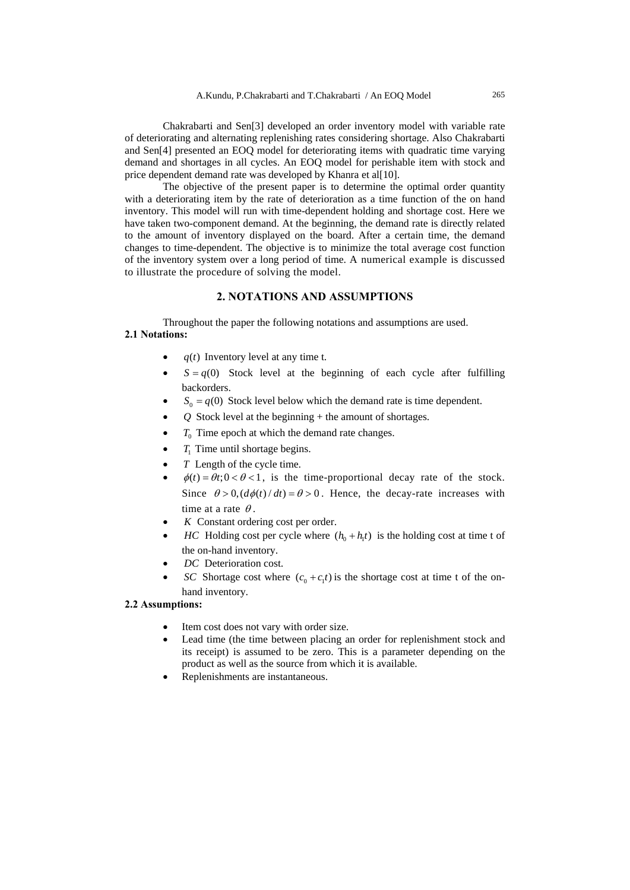Chakrabarti and Sen[3] developed an order inventory model with variable rate of deteriorating and alternating replenishing rates considering shortage. Also Chakrabarti and Sen[4] presented an EOQ model for deteriorating items with quadratic time varying demand and shortages in all cycles. An EOQ model for perishable item with stock and price dependent demand rate was developed by Khanra et al[10].

The objective of the present paper is to determine the optimal order quantity with a deteriorating item by the rate of deterioration as a time function of the on hand inventory. This model will run with time-dependent holding and shortage cost. Here we have taken two-component demand. At the beginning, the demand rate is directly related to the amount of inventory displayed on the board. After a certain time, the demand changes to time-dependent. The objective is to minimize the total average cost function of the inventory system over a long period of time. A numerical example is discussed to illustrate the procedure of solving the model.

## **2. NOTATIONS AND ASSUMPTIONS**

Throughout the paper the following notations and assumptions are used. **2.1 Notations:** 

- $q(t)$  Inventory level at any time t.
- $S = q(0)$  Stock level at the beginning of each cycle after fulfilling backorders.
- $S_0 = q(0)$  Stock level below which the demand rate is time dependent.
- *Q* Stock level at the beginning + the amount of shortages.
- $\bullet$   $T_0$  Time epoch at which the demand rate changes.
- $T_1$  Time until shortage begins.
- *T* Length of the cycle time.
- $\phi(t) = \theta t$ ;  $0 < \theta < 1$ , is the time-proportional decay rate of the stock. Since  $\theta > 0$ ,  $\left(\frac{d\phi(t)}{dt}\right) = \theta > 0$ . Hence, the decay-rate increases with time at a rate  $\theta$ .
- *K* Constant ordering cost per order.
- *HC* Holding cost per cycle where  $(h_0 + h_t t)$  is the holding cost at time t of the on-hand inventory.
- DC Deterioration cost.
- *SC* Shortage cost where  $(c_0 + c_1 t)$  is the shortage cost at time t of the onhand inventory.

## **2.2 Assumptions:**

- Item cost does not vary with order size.
- Lead time (the time between placing an order for replenishment stock and its receipt) is assumed to be zero. This is a parameter depending on the product as well as the source from which it is available.
- Replenishments are instantaneous.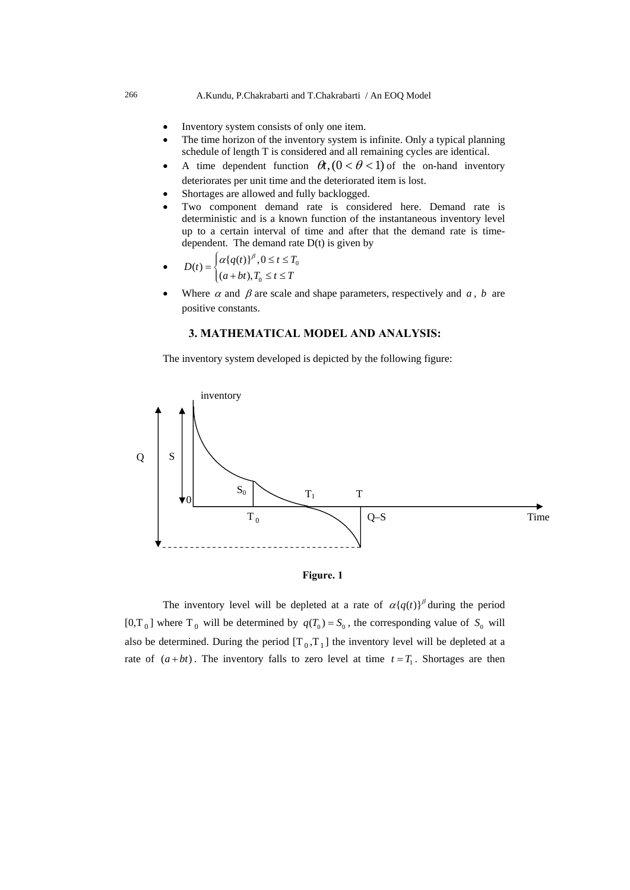#### 266 A.Kundu, P.Chakrabarti and T.Chakrabarti / An EOQ Model

- Inventory system consists of only one item.
- The time horizon of the inventory system is infinite. Only a typical planning schedule of length T is considered and all remaining cycles are identical.
- A time dependent function  $\theta t$ ,  $(0 < \theta < 1)$  of the on-hand inventory deteriorates per unit time and the deteriorated item is lost.
- Shortages are allowed and fully backlogged.
- Two component demand rate is considered here. Demand rate is deterministic and is a known function of the instantaneous inventory level up to a certain interval of time and after that the demand rate is timedependent. The demand rate  $D(t)$  is given by
- $D(t) = \begin{cases} a_1 q(t) & t > 0 \le t \le t_0 \end{cases}$  $D(t) = \begin{cases} \alpha \{q(t)\}^{\beta}, 0 \leq t \leq T, \\ (a+bt), T_0 \leq t \leq T. \end{cases}$  $=\begin{cases} \alpha \{q(t)\}^{\beta}, 0 \leq t \leq T \\ (a+bt), T_0 \leq t \leq T \end{cases}$  $\left[ (a+bt), T_0 \leq t \leq \right]$
- Where  $\alpha$  and  $\beta$  are scale and shape parameters, respectively and  $\alpha$ ,  $\beta$  are positive constants.

# **3. MATHEMATICAL MODEL AND ANALYSIS:**

The inventory system developed is depicted by the following figure:





The inventory level will be depleted at a rate of  $\alpha \{q(t)\}^{\beta}$  during the period  $[0, T_0]$  where T<sub>0</sub> will be determined by  $q(T_0) = S_0$ , the corresponding value of S<sub>0</sub> will also be determined. During the period  $[T_0, T_1]$  the inventory level will be depleted at a rate of  $(a + bt)$ . The inventory falls to zero level at time  $t = T_1$ . Shortages are then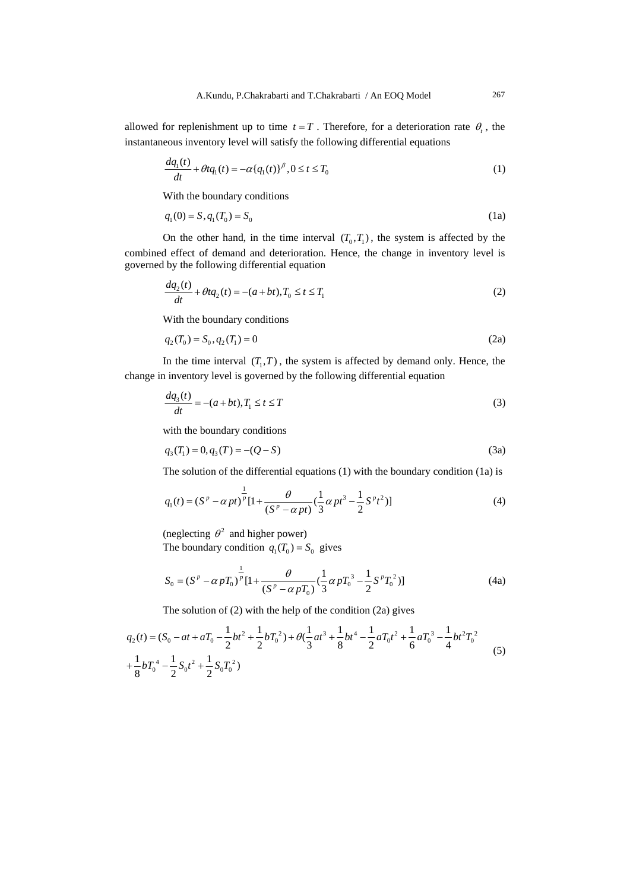allowed for replenishment up to time  $t = T$ . Therefore, for a deterioration rate  $\theta_t$ , the instantaneous inventory level will satisfy the following differential equations

$$
\frac{dq_1(t)}{dt} + \theta t q_1(t) = -\alpha \{q_1(t)\}^{\beta}, 0 \le t \le T_0
$$
\n(1)

With the boundary conditions

$$
q_1(0) = S, q_1(T_0) = S_0 \tag{1a}
$$

On the other hand, in the time interval  $(T_0, T_1)$ , the system is affected by the combined effect of demand and deterioration. Hence, the change in inventory level is governed by the following differential equation

$$
\frac{dq_2(t)}{dt} + \theta t q_2(t) = -(a + bt), T_0 \le t \le T_1
$$
\n(2)

With the boundary conditions

$$
q_2(T_0) = S_0, q_2(T_1) = 0 \tag{2a}
$$

In the time interval  $(T_1, T)$ , the system is affected by demand only. Hence, the change in inventory level is governed by the following differential equation

$$
\frac{dq_3(t)}{dt} = -(a+bt), T_1 \le t \le T
$$
\n(3)

with the boundary conditions

$$
q_3(T_1) = 0, q_3(T) = -(Q - S)
$$
\n(3a)

The solution of the differential equations (1) with the boundary condition (1a) is

$$
q_1(t) = (S^p - \alpha pt)^{\frac{1}{p}} [1 + \frac{\theta}{(S^p - \alpha pt)} (\frac{1}{3} \alpha pt^3 - \frac{1}{2} S^p t^2)]
$$
 (4)

(neglecting  $\theta^2$  and higher power) The boundary condition  $q_1(T_0) = S_0$  gives

$$
S_0 = (S^P - \alpha p T_0)^{\frac{1}{P}} [1 + \frac{\theta}{(S^P - \alpha p T_0)} (\frac{1}{3} \alpha p T_0^3 - \frac{1}{2} S^P T_0^2)]
$$
(4a)

The solution of (2) with the help of the condition (2a) gives

$$
q_2(t) = (S_0 - at + aT_0 - \frac{1}{2}bt^2 + \frac{1}{2}bT_0^2) + \theta(\frac{1}{3}at^3 + \frac{1}{8}bt^4 - \frac{1}{2}aT_0t^2 + \frac{1}{6}aT_0^3 - \frac{1}{4}bt^2T_0^2 + \frac{1}{8}bT_0^4 - \frac{1}{2}S_0t^2 + \frac{1}{2}S_0T_0^2)
$$
\n
$$
(5)
$$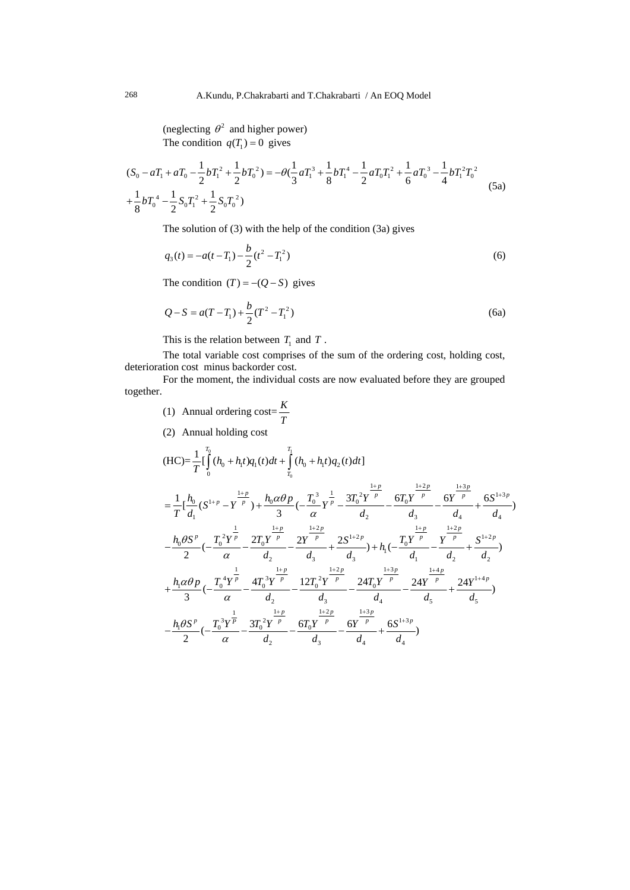(neglecting  $\theta^2$  and higher power) The condition  $q(T_1) = 0$  gives

$$
(S_0 - aT_1 + aT_0 - \frac{1}{2}bT_1^2 + \frac{1}{2}bT_0^2) = -\theta(\frac{1}{3}aT_1^3 + \frac{1}{8}bT_1^4 - \frac{1}{2}aT_0T_1^2 + \frac{1}{6}aT_0^3 - \frac{1}{4}bT_1^2T_0^2 + \frac{1}{8}bT_0^4 - \frac{1}{2}S_0T_1^2 + \frac{1}{2}S_0T_0^2)
$$
\n(5a)

The solution of (3) with the help of the condition (3a) gives

$$
q_3(t) = -a(t - T_1) - \frac{b}{2}(t^2 - T_1^2)
$$
\n(6)

The condition  $(T) = -(Q - S)$  gives

$$
Q - S = a(T - T_1) + \frac{b}{2}(T^2 - T_1^2)
$$
\n(6a)

This is the relation between  $T_1$  and  $T$ .

The total variable cost comprises of the sum of the ordering cost, holding cost, deterioration cost minus backorder cost.

For the moment, the individual costs are now evaluated before they are grouped together.

- (1) Annual ordering cost= $\frac{K}{T}$
- (2) Annual holding cost

$$
(HC) = \frac{1}{T} \left[ \int_{0}^{T_0} (h_0 + h_1 t) q_1(t) dt + \int_{T_0}^{T_1} (h_0 + h_1 t) q_2(t) dt \right]
$$
  
\n
$$
= \frac{1}{T} \left[ \frac{h_0}{d_1} (S^{1+p} - Y^{\frac{1+p}{p}}) + \frac{h_0 \alpha \theta p}{3} \left( - \frac{T_0^3}{\alpha} Y^{\frac{1}{p}} - \frac{3T_0^2 Y^{\frac{1+p}{p}}}{d_2} - \frac{6T_0 Y^{\frac{1+2p}{p}}}{d_3} - \frac{6Y^{\frac{1+3p}{p}}}{d_4} + \frac{6S^{1+3p}}{d_4} \right) \right]
$$
  
\n
$$
- \frac{h_0 \theta S^p}{2} \left( - \frac{T_0^2 Y^{\frac{1}{p}}}{\alpha} - \frac{2T_0 Y^{\frac{1+p}{p}}}{d_2} - \frac{2Y^{\frac{1+2p}{p}}}{d_3} + \frac{2S^{1+2p}}{d_3} + \frac{1}{2} \frac{1}{d_4} - \frac{4Y^{\frac{1+p}{p}}}{d_4} - \frac{Y^{\frac{1+2p}{p}}}{d_2} + \frac{S^{1+2p}}{d_2} \right)
$$
  
\n
$$
+ \frac{h_1 \alpha \theta p}{3} \left( - \frac{T_0^4 Y^{\frac{1}{p}}}{\alpha} - \frac{4T_0^3 Y^{\frac{p}{p}}}{d_2} - \frac{12T_0^2 Y^{\frac{1+2p}{p}}}{d_3} - \frac{24T_0 Y^{\frac{1+3p}{p}}}{d_4} - \frac{24Y^{\frac{1+4p}{p}}}{d_5} + \frac{24Y^{1+4p}}{d_5} \right)
$$
  
\n
$$
- \frac{h_1 \theta S^p}{2} \left( - \frac{T_0^3 Y^{\frac{1}{p}}}{\alpha} - \frac{3T_0^2 Y^{\frac{1+p}{p}}}{d_2} - \frac{6T_0 Y^{\frac{1+2p}{p}}}{d_3} - \frac{6Y^{\frac{1+3p}{p}}}{d_4} + \frac{6S^{1+3p}}{d_4} \right)
$$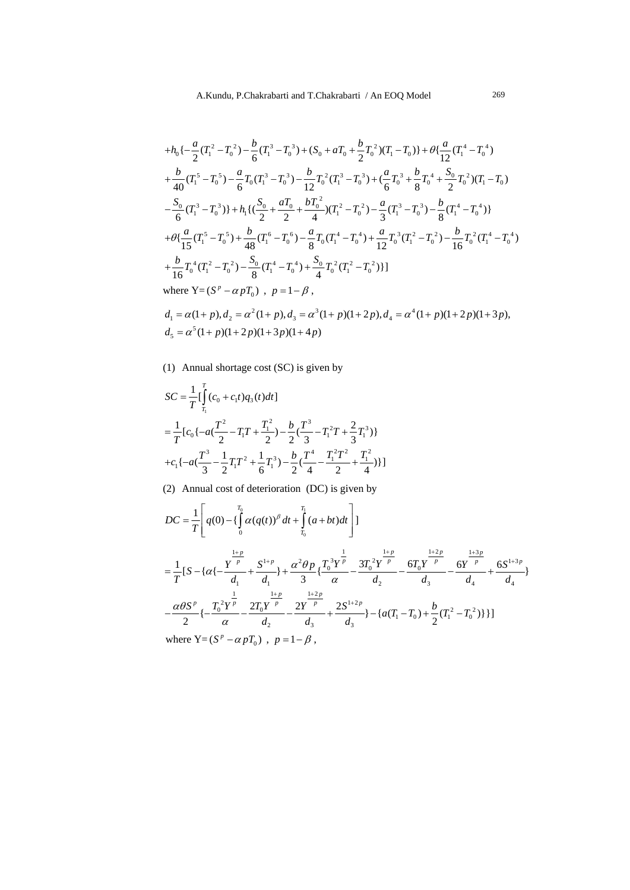$$
+h_{0}\left\{-\frac{a}{2}(T_{1}^{2}-T_{0}^{2})-\frac{b}{6}(T_{1}^{3}-T_{0}^{3})+(S_{0}+aT_{0}+\frac{b}{2}T_{0}^{2})(T_{1}-T_{0})\right\}+\theta\left\{\frac{a}{12}(T_{1}^{4}-T_{0}^{4})\right.\\+\frac{b}{40}(T_{1}^{5}-T_{0}^{5})-\frac{a}{6}T_{0}(T_{1}^{3}-T_{0}^{3})-\frac{b}{12}T_{0}^{2}(T_{1}^{3}-T_{0}^{3})+(\frac{a}{6}T_{0}^{3}+\frac{b}{8}T_{0}^{4}+\frac{S_{0}}{2}T_{0}^{2})(T_{1}-T_{0})\\-\frac{S_{0}}{6}(T_{1}^{3}-T_{0}^{3})\right\}+h_{1}\left\{(\frac{S_{0}}{2}+\frac{aT_{0}}{2}+\frac{bT_{0}^{2}}{4})(T_{1}^{2}-T_{0}^{2})-\frac{a}{3}(T_{1}^{3}-T_{0}^{3})-\frac{b}{8}(T_{1}^{4}-T_{0}^{4})\right\}\\+\theta\left\{\frac{a}{15}(T_{1}^{5}-T_{0}^{5})+\frac{b}{48}(T_{1}^{6}-T_{0}^{6})-\frac{a}{8}T_{0}(T_{1}^{4}-T_{0}^{4})+\frac{a}{12}T_{0}^{3}(T_{1}^{2}-T_{0}^{2})-\frac{b}{16}T_{0}^{2}(T_{1}^{4}-T_{0}^{4})\right.\\+\frac{b}{16}T_{0}^{4}(T_{1}^{2}-T_{0}^{2})-\frac{S_{0}}{8}(T_{1}^{4}-T_{0}^{4})+\frac{S_{0}}{4}T_{0}^{2}(T_{1}^{2}-T_{0}^{2})\right\}
$$
  
where  $Y=(S^{p}-\alpha pT_{0})$ ,  $p=1-\beta$ ,

 $d_1 = \alpha(1+p), d_2 = \alpha^2(1+p), d_3 = \alpha^3(1+p)(1+2p), d_4 = \alpha^4(1+p)(1+2p)(1+3p),$  $d_5 = \alpha^5 (1+p)(1+2p)(1+3p)(1+4p)$ 

(1) Annual shortage cost (SC) is given by

$$
SC = \frac{1}{T} \left[ \int_{T_1}^{T} (c_0 + c_1 t) q_3(t) dt \right]
$$
  
=  $\frac{1}{T} [c_0 \{ -a(\frac{T^2}{2} - T_1 T + \frac{T_1^2}{2}) - \frac{b}{2} (\frac{T^3}{3} - T_1^2 T + \frac{2}{3} T_1^3) \}$   
+  $c_1 \{ -a(\frac{T^3}{3} - \frac{1}{2} T_1 T^2 + \frac{1}{6} T_1^3) - \frac{b}{2} (\frac{T^4}{4} - \frac{T_1^2 T^2}{2} + \frac{T_1^2}{4}) \} ]$ 

(2) Annual cost of deterioration (DC) is given by

$$
DC = \frac{1}{T} \left[ q(0) - \left\{ \int_{0}^{T_0} \alpha(q(t))^{\beta} dt + \int_{T_0}^{T_1} (a+bt) dt \right\} \right]
$$
  
\n
$$
= \frac{1}{T} \left[ S - \left\{ \alpha \left\{ - \frac{Y^{\frac{1+p}{p}}}{d_1} + \frac{S^{1+p}}{d_1} \right\} + \frac{\alpha^2 \theta p}{3} \left\{ \frac{T_0^3 Y^{\frac{1}{p}}}{\alpha} - \frac{3T_0^2 Y^{\frac{1+p}{p}}}{d_2} - \frac{6Y^{\frac{1+2p}{p}}}{d_3} - \frac{6Y^{\frac{1+3p}{p}}}{d_4} + \frac{6S^{1+3p}}{d_4} \right\} \right]
$$
  
\n
$$
- \frac{\alpha \theta S^p}{2} \left\{ - \frac{T_0^2 Y^{\frac{1}{p}}}{\alpha} - \frac{2T_0 Y^{\frac{1+p}{p}}}{d_2} - \frac{2Y^{\frac{1+2p}{p}}}{d_3} + \frac{2S^{1+2p}}{d_3} \right\} - \left\{ a(T_1 - T_0) + \frac{b}{2} (T_1^2 - T_0^2) \right\} \right\}
$$
  
\nwhere  $Y = (S^p - \alpha p T_0)$ ,  $p = 1 - \beta$ ,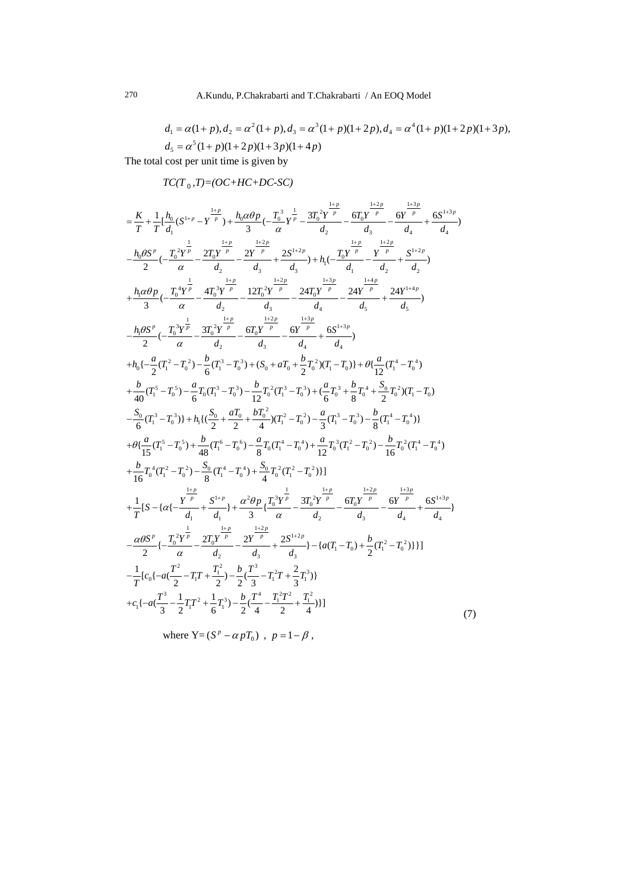$$
d_1 = \alpha(1+p), d_2 = \alpha^2(1+p), d_3 = \alpha^3(1+p)(1+2p), d_4 = \alpha^4(1+p)(1+2p)(1+3p),
$$
  
\n
$$
d_5 = \alpha^5(1+p)(1+2p)(1+3p)(1+4p)
$$

The total cost per unit time is given by

 $TC(T_0, T) = (OC + HC + DC - SC)$ 

$$
=\frac{K}{T}+\frac{1}{T}[\frac{h_0}{d_1}(S^{1+p}-Y^{\frac{1+p}{p}})+\frac{h_0\alpha\theta p}{3}(-\frac{T_0^3}{\alpha}Y^{\frac{1}{p}}-\frac{3T_0^2Y^{\frac{1+p}{p}}}{d_2}-\frac{6T_0Y^{\frac{1+2p}{p}}}{d_3}-\frac{6Y^{\frac{1+2p}{p}}}{d_4}+\frac{6Y^{\frac{1+2p}{p}}}{d_4}+\frac{6Y^{\frac{1+2p}{p}}}{d_4})\\+\frac{h_0\alpha\theta p}{2}(-\frac{T_0^4Y^{\frac{1}{p}}}{\alpha}-\frac{2T_0Y^{\frac{1+p}{p}}}{d_2}-\frac{2Y^{\frac{1+p}{p}}}{d_3}+\frac{2S^{\frac{1+2p}{2}}}{d_3})+h_1(-\frac{T_0Y^{\frac{1+p}{p}}}{d_1}-\frac{Y^{\frac{1+2p}{p}}}{d_2}+\frac{S^{\frac{1+2p}{2}}}{d_2})\\+\frac{h_0\alpha\theta p}{3}(-\frac{T_0^4Y^{\frac{1}{p}}}{\alpha}-\frac{4T_0^3Y^{\frac{1+p}{p}}}{d_2}-\frac{12T_0^2Y^{\frac{p}{p}}}{d_3}-\frac{24T_0Y^{\frac{1+2p}{p}}}{d_4}+\frac{24Y^{\frac{1+4p}{p}}}{d_5})\\+\frac{h_0\beta S'}{2}(-\frac{T_0^3Y^{\frac{1}{p}}}{\alpha}-\frac{3T_0^2Y^{\frac{p}{p}}}{d_2}-\frac{6T_0Y^{\frac{p}{p}}}{d_3}-\frac{6Y^{\frac{1+2p}{p}}}{d_4}+\frac{6S^{\frac{1+3p}{2}}}{d_4})\\+\frac{h_0(-\frac{\alpha}{2}(T_1^2-T_0^2)-\frac{b}{6}(T_1^3-T_0^3)+(S_0+\alpha T_0+\frac{b}{2}T_0^2)(T_1-T_0))+\theta\{\frac{\alpha}{12}(T_1^4-T_0^4)}{12}(T_1^4-T_0^4)\\+\frac{b}{40}(T_1^5-T_0^5)-\frac{\alpha}{6}T_0(T_1^3-T_0^3)-\frac{b}{12
$$

where  $Y = (S^p - \alpha pT_0)$ ,  $p = 1 - \beta$ ,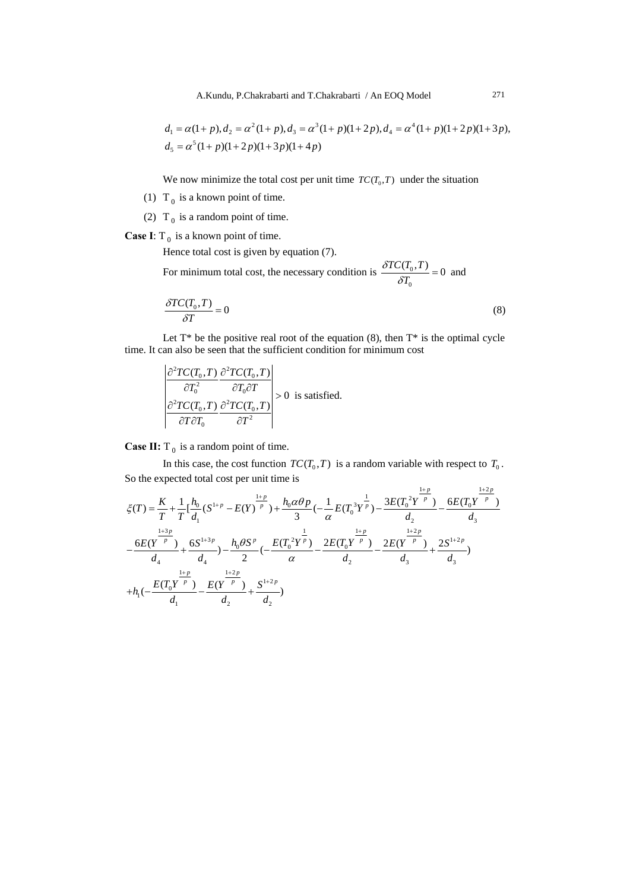$$
d_1 = \alpha(1+p), d_2 = \alpha^2(1+p), d_3 = \alpha^3(1+p)(1+2p), d_4 = \alpha^4(1+p)(1+2p)(1+3p),
$$
  
\n
$$
d_5 = \alpha^5(1+p)(1+2p)(1+3p)(1+4p)
$$

We now minimize the total cost per unit time  $TC(T_0, T)$  under the situation

- (1)  $T_0$  is a known point of time.
- (2)  $T_0$  is a random point of time.

**Case I**:  $T_0$  is a known point of time.

Hence total cost is given by equation (7).

For minimum total cost, the necessary condition is  $\frac{\partial I C(I_0)}{\partial I}$  $\mathbf 0$  $\frac{TC(T_0, T)}{\delta T_0} = 0$  $\frac{\delta T C(T_0, T)}{\delta T_0} = 0$  and

$$
\frac{\delta T C(T_0, T)}{\delta T} = 0\tag{8}
$$

Let  $T^*$  be the positive real root of the equation (8), then  $T^*$  is the optimal cycle time. It can also be seen that the sufficient condition for minimum cost

$$
\left| \frac{\partial^2 TC(T_0, T)}{\partial T_0^2} \frac{\partial^2 TC(T_0, T)}{\partial T_0 \partial T} \right| > 0 \text{ is satisfied.}
$$
  

$$
\left| \frac{\partial^2 TC(T_0, T)}{\partial T \partial T_0} \frac{\partial^2 TC(T_0, T)}{\partial T^2} \right| > 0 \text{ is satisfied.}
$$

**Case II:**  $T_0$  is a random point of time.

In this case, the cost function  $TC(T_0, T)$  is a random variable with respect to  $T_0$ . So the expected total cost per unit time is

$$
\zeta(T) = \frac{K}{T} + \frac{1}{T} \Big[ \frac{h_0}{d_1} (S^{1+p} - E(Y)^{\frac{1+p}{p}}) + \frac{h_0 \alpha \theta p}{3} \Big( -\frac{1}{\alpha} E(T_0^3 Y^{\frac{1}{p}}) - \frac{3E(T_0^2 Y^{\frac{1+p}{p}})}{d_2} - \frac{6E(T_0 Y^{\frac{1+2p}{p}})}{d_3}
$$
  

$$
-\frac{6E(Y^{\frac{1+3p}{p}})}{d_4} + \frac{6S^{1+3p}}{d_4} - \frac{h_0 \theta S^p}{2} \Big( -\frac{E(T_0^2 Y^{\frac{1}{p}})}{\alpha} - \frac{2E(T_0 Y^{\frac{1+p}{p}})}{d_2} - \frac{2E(Y^{\frac{1+2p}{p}})}{d_3} + \frac{2S^{1+2p}}{d_3}
$$
  

$$
+ h_1 \Big( -\frac{E(T_0 Y^{\frac{1+p}{p}})}{d_1} - \frac{E(Y^{\frac{1+2p}{p}})}{d_2} + \frac{S^{1+2p}}{d_2} \Big)
$$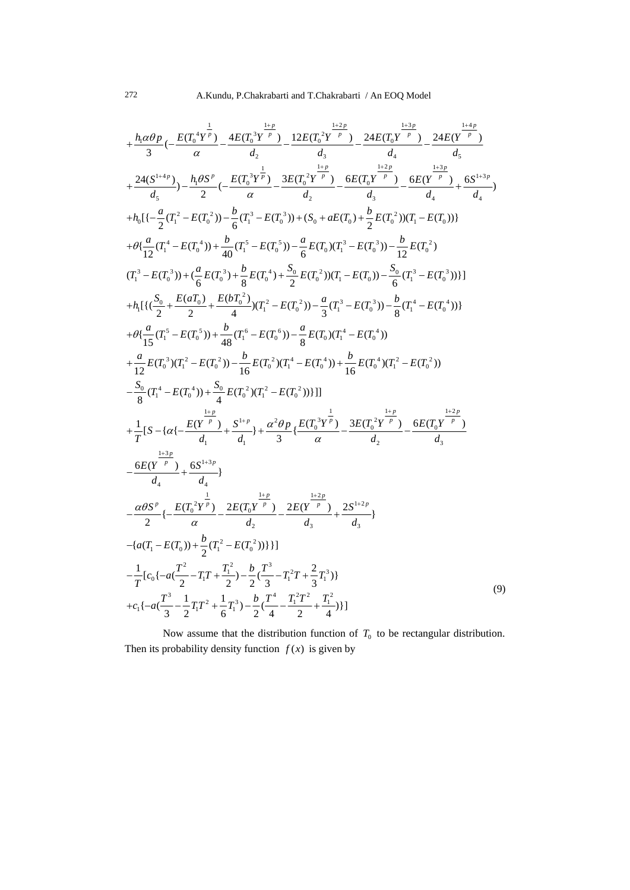$$
+\frac{h_1 \alpha \theta p}{3} (-\frac{E(T_0^4 Y^{\frac{1}{p}})}{\alpha} - \frac{4E(T_0^3 Y^{\frac{1+p}{p}})}{d_2} - \frac{12E(T_0^2 Y^{\frac{1+2p}{p}})}{d_3} - \frac{24E(T^{\frac{p}{p}})}{d_4} - \frac{24E(T^{\frac{p}{p}})}{d_5} + \frac{24(K^{\frac{1+3p}{p}})}{d_5} - \frac{24K(T^{\frac{p}{p}})^{\frac{1+2p}{p}}}{d_5} + \frac{24(G^{\frac{1+2p}{p}})}{d_5} - \frac{h_1 \theta S^{\frac{p}{p}}}{2} (-\frac{E(T_0^3 Y^{\frac{1}{p}})}{\alpha} - \frac{3E(T_0^2 Y^{\frac{1+p}{p}})}{d_2} - \frac{6E(T_0 Y^{\frac{1+2p}{p}})}{d_3} - \frac{6E(T^{\frac{p}{p}} Y^{\frac{p}{p}})}{d_4} + \frac{6G^{\frac{1+3p}{p}}}{d_4}) + h_0 \left[ \left( -\frac{a}{2}(T_1^2 - E(T_0^3)) - \frac{b}{6}(T_1^3 - E(T_0^3)) + (S_0 + aE(T_0) + \frac{b}{2}E(T_0^2))(T_1 - E(T_0)) \right) \right]
$$
  
\n+  $\theta \left\{ \frac{a}{12}(T_1^4 - E(T_0^4)) + \frac{b}{40}(T_1^5 - E(T_0^5)) - \frac{a}{6}E(T_0)(T_1^3 - E(T_0^3)) - \frac{b}{6}(T_1^3 - E(T_0^3)) \right\}$   
\n+  $h_1 \left[ \left\{ \left( \frac{S_0}{2} + \frac{E(aT_0)}{2} \right) + \frac{e}{6}(T_0^2) + \frac{e}{3}(T_0^4) + \frac{S_0}{2}E(T_0^2)(T_1^2 - E(T_0^3)) - \frac{b}{6}(T_1^3 - E(T_0^4)) \right\}$   
\n+  $\theta \left\{ \frac{a}{15}(T_1^5 - E(T_0^5)) + \frac{b}{48}(T_1^6 - E(T_0^6)) - \$ 

Now assume that the distribution function of  $T_0$  to be rectangular distribution. Then its probability density function  $f(x)$  is given by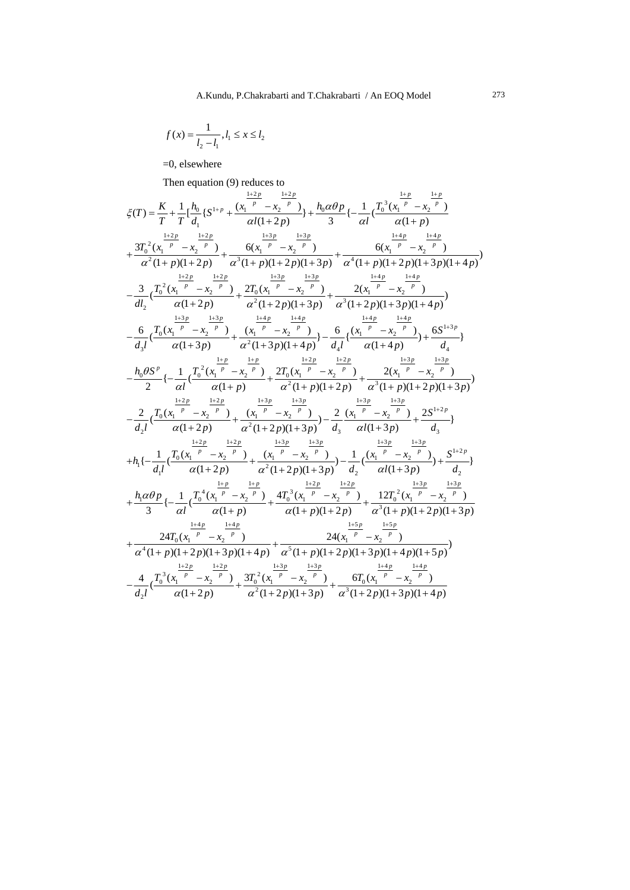$$
f(x) = \frac{1}{l_2 - l_1}, l_1 \le x \le l_2
$$

=0, elsewhere

Then equation  $(9)$  reduces to

$$
\zeta(T) = \frac{K}{T} + \frac{1}{T} \Big[ \frac{h_0}{d_1} \{ S^{1+p} + \frac{(\frac{1+2p}{T} - \frac{1+2p}{T})}{\alpha I(1+2p)} \} + \frac{h_0 \alpha \theta p}{\alpha I} \Big\{ - \frac{1}{\alpha I} \Big( \frac{T_0^3 (\frac{1+p}{x_1} - \frac{1+p}{x_2} - \frac{1+p}{T})}{\alpha^2 (1+p)(1+2p)} \Big\}
$$
  
\n
$$
+ \frac{3T_0^2 (\frac{1+p}{x_1} - \frac{1+2p}{x_1} - \frac{1+3p}{x_1} - \frac{1+3p}{x_1} - \frac{1+3p}{x_1} - \frac{1+3p}{x_1} - \frac{1+4p}{x_1} - \frac{1+4p}{x_1} - \frac{1+4p}{x_1} - \frac{1+4p}{x_1} - \frac{1+4p}{x_1} - \frac{1+4p}{x_1} - \frac{1+4p}{x_1} - \frac{1+4p}{x_1} - \frac{1+4p}{x_1} - \frac{1+4p}{x_1} - \frac{1+4p}{x_1} - \frac{1+4p}{x_1} - \frac{1+4p}{x_1} - \frac{1+4p}{x_1} - \frac{1+4p}{x_1} - \frac{1+4p}{x_1} - \frac{1+4p}{x_1} - \frac{1+4p}{x_1} - \frac{1+4p}{x_1} - \frac{1+4p}{x_1} - \frac{1+4p}{x_1} - \frac{1+4p}{x_1} - \frac{1+4p}{x_1} - \frac{1+4p}{x_1} - \frac{1+4p}{x_1} - \frac{1+4p}{x_1} - \frac{1+4p}{x_1} - \frac{1+4p}{x_1} - \frac{1+4p}{x_1} - \frac{1+4p}{x_1} - \frac{1+4p}{x_1} - \frac{1+4p}{x_1} - \frac{1+4p}{x_1} - \frac{1+4p}{x_1} - \frac{1+4p}{x_1} - \frac{1+4p}{x_1} - \frac{1+4p}{x_1} - \frac{1+4p}{x_1} - \
$$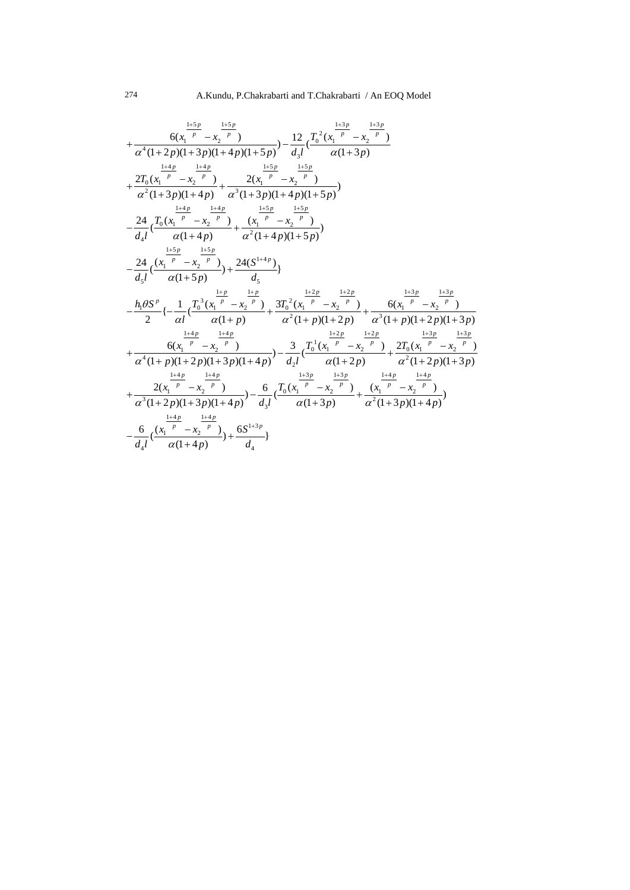$$
+\frac{6(x_1^{\frac{1+5p}{p}}-x_2^{\frac{1+5p}{p}})}{\alpha^4(1+2p)(1+3p)(1+4p)(1+5p)}-\frac{12}{d_3l}(\frac{T_0^2(x_1^{\frac{1+3p}{p}}-x_2^{\frac{1+3p}{p}})}{\alpha(1+3p)}
$$
\n
$$
+\frac{2T_0(x_1^{\frac{1+4p}{p}}-x_2^{\frac{1+4p}{p}})}{\alpha^2(1+3p)(1+4p)}+\frac{\frac{1+5p}{\alpha^3(1+3p)(1+4p)(1+5p)}}{\alpha^3(1+3p)(1+4p)(1+5p)}
$$
\n
$$
-\frac{24}{d_4l}(\frac{T_0(x_1^{\frac{1+4p}{p}}-x_2^{\frac{1+5p}{p}})}{\alpha(1+4p)}+\frac{\frac{1+5p}{\alpha^2(1+4p)(1+5p)}}{\alpha^2(1+4p)(1+5p)})
$$
\n
$$
-\frac{24}{d_5l}(\frac{(x_1^{\frac{1+5p}{p}}-x_2^{\frac{1+5p}{p}})}{\alpha(1+5p)})+\frac{24(S^{1+4p})}{d_5}
$$
\n
$$
-\frac{h_0\beta S^p}{2}\{-\frac{1}{\alpha l}(\frac{T_0^3(x_1^{\frac{1+p}{p}}-x_2^{\frac{1+p}{p}})}{\alpha(1+ p)}+\frac{3T_0^2(x_1^{\frac{1+2p}{p}}-x_2^{\frac{1+2p}{p}})}{\alpha^2(1+ p)(1+2p)}+\frac{6(x_1^{\frac{p}{p}}-x_2^{\frac{p}{p}})}{\alpha^3(1+ p)(1+2p)(1+3p)}
$$
\n
$$
+\frac{6(x_1^{\frac{1+4p}{p}}-x_2^{\frac{1+4p}{p}})}{\alpha^4(1+ p)(1+2p)(1+3p)(1+4p)}-\frac{3}{d_2l}(\frac{T_0^1(x_1^{\frac{p}{p}}-x_2^{\frac{1+2p}{p}})}{\alpha(1+2p)}+\frac{2T_0(x_1^{\frac{1+3p}{p}}-x_2^{\frac{1+3p}{p}})}{\alpha^2(1+2p)(1+3p)}
$$
\n<math display="</math>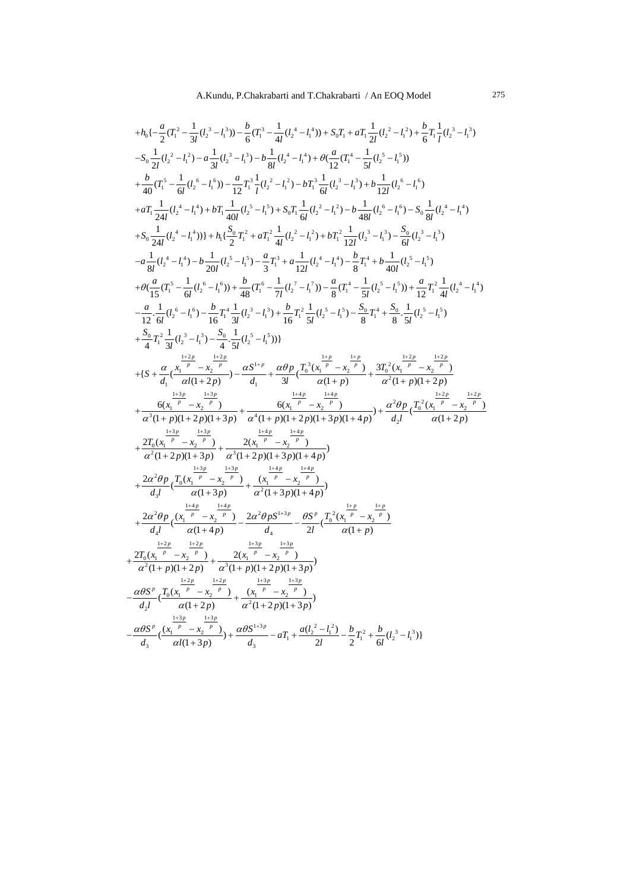A.Kundu, P.Chakrabarti and T.Chakrabarti / An EOQ Model 275

$$
+h_{0}\left(-\frac{a}{2}(T_{i}^{2}-\frac{1}{3}(l_{2}^{3}-l_{i}^{3}))-\frac{b}{6}(T_{i}^{3}-\frac{1}{4l}(l_{2}^{4}-l_{i}^{4}))+S_{0}T_{i}+aT_{i}\frac{1}{2l}(l_{2}^{2}-l_{i}^{2})+\frac{b}{6}T_{i}\frac{1}{l}(l_{2}^{3}-l_{i}^{3})
$$
  
\n
$$
-S_{0}\frac{1}{2l}(l_{2}^{2}-l_{i}^{2})-a\frac{1}{3l}(l_{2}^{3}-l_{i}^{3})-b\frac{1}{8l}(l_{2}^{4}-l_{i}^{4})+b(\frac{a}{12}(T_{i}^{4}-\frac{1}{3l}(l_{2}^{4}-l_{i}^{4}))+b\frac{b}{40}(T_{i}^{5}-\frac{1}{6l}(l_{2}^{5}-l_{i}^{5}))
$$
  
\n
$$
+\frac{b}{40}(T_{i}^{5}-\frac{1}{6l}(l_{2}^{6}-l_{i}^{6}))-\frac{a}{12}T_{i}^{3}\frac{1}{l}(l_{2}^{2}-l_{i}^{2})-bT_{i}^{3}\frac{1}{6l}(l_{2}^{3}-l_{i}^{3})+b\frac{1}{12l}(l_{2}^{6}-l_{i}^{6})
$$
  
\n
$$
+aT_{i}\frac{1}{24l}(l_{2}^{4}-l_{i}^{4})+bT_{1}\frac{1}{4l}(l_{2}^{5}-l_{i}^{5})+S_{0}T_{1}\frac{1}{6l}(l_{2}^{2}-l_{i}^{2})-b\frac{1}{48l}(l_{2}^{6}-l_{i}^{6})-S_{0}\frac{1}{8l}(l_{2}^{4}-l_{i}^{4})
$$
  
\n
$$
+S_{0}\frac{1}{24l}(l_{2}^{4}-l_{i}^{4}))+h_{1}\left(\frac{S_{0}}{2}T_{i}^{2}+aT_{i}^{2}\frac{1}{4l}(l_{2}^{2}-l_{i}^{2})+bT_{i}^{2}\frac{1}{12l}(l_{2}^{3}-l_{i}^{3})-\frac{C_{0}}{6l}(l_{2}^{3}-l_{i}^{3})
$$
  
\n
$$
-a\
$$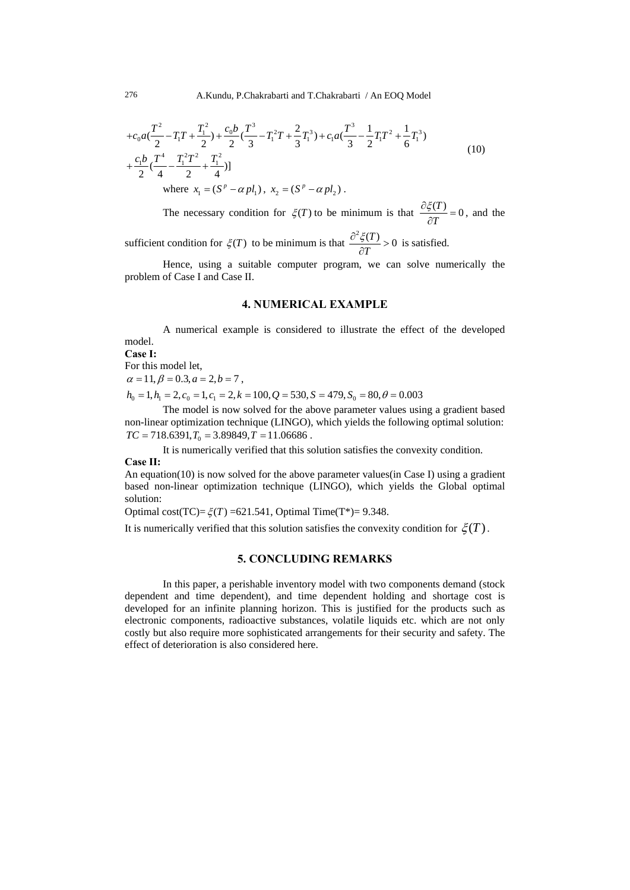$$
+c_0 a \left(\frac{T^2}{2} - T_1 T + \frac{T_1^2}{2}\right) + \frac{c_0 b}{2} \left(\frac{T^3}{3} - T_1^2 T + \frac{2}{3} T_1^3\right) + c_1 a \left(\frac{T^3}{3} - \frac{1}{2} T_1 T^2 + \frac{1}{6} T_1^3\right) + \frac{c_1 b}{2} \left(\frac{T^4}{4} - \frac{T_1^2 T^2}{2} + \frac{T_1^2}{4}\right) where  $x_1 = (S^p - \alpha p l_1), x_2 = (S^p - \alpha p l_2).$  (10)
$$

The necessary condition for  $\zeta(T)$  to be minimum is that  $\frac{\partial \zeta(T)}{\partial T} = 0$ , and the

sufficient condition for  $\zeta(T)$  to be minimum is that  $\frac{\partial^2 \zeta(T)}{\partial T} > 0$  $\frac{\partial^2 \xi(T)}{\partial T} > 0$  is satisfied.

Hence, using a suitable computer program, we can solve numerically the problem of Case I and Case II.

#### **4. NUMERICAL EXAMPLE**

A numerical example is considered to illustrate the effect of the developed model.

**Case I:** 

For this model let,

 $\alpha = 11, \beta = 0.3, a = 2, b = 7$ ,

 $h_0 = 1, h_1 = 2, c_0 = 1, c_1 = 2, k = 100, Q = 530, S = 479, S_0 = 80, \theta = 0.003$ 

The model is now solved for the above parameter values using a gradient based non-linear optimization technique (LINGO), which yields the following optimal solution:  $TC = 718.6391, T_0 = 3.89849, T = 11.06686$ .

It is numerically verified that this solution satisfies the convexity condition.

**Case II:** 

An equation(10) is now solved for the above parameter values(in Case I) using a gradient based non-linear optimization technique (LINGO), which yields the Global optimal solution:

Optimal cost(TC)= $\xi(T)$  =621.541, Optimal Time(T<sup>\*</sup>)= 9.348.

It is numerically verified that this solution satisfies the convexity condition for  $\zeta(T)$ .

## **5. CONCLUDING REMARKS**

In this paper, a perishable inventory model with two components demand (stock dependent and time dependent), and time dependent holding and shortage cost is developed for an infinite planning horizon. This is justified for the products such as electronic components, radioactive substances, volatile liquids etc. which are not only costly but also require more sophisticated arrangements for their security and safety. The effect of deterioration is also considered here.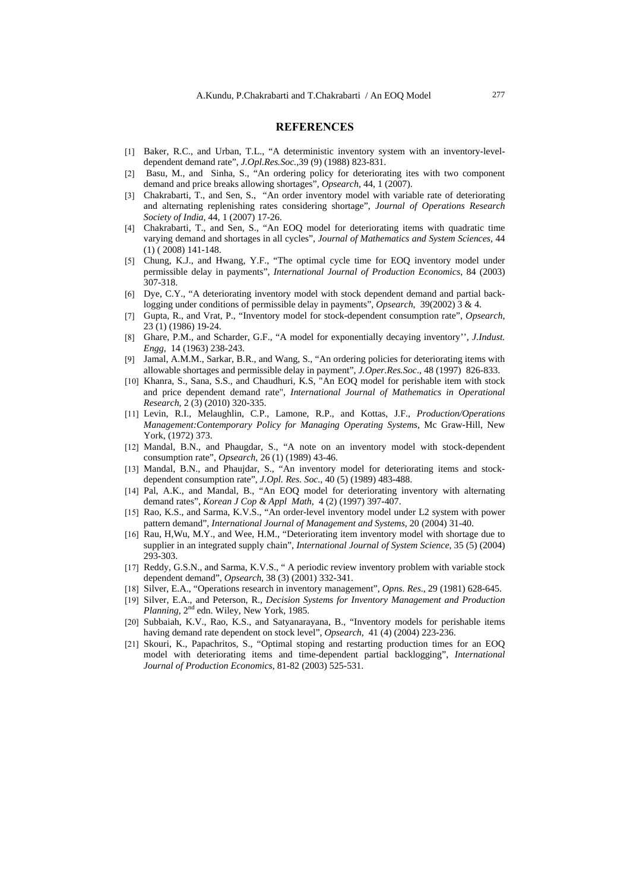#### **REFERENCES**

- [1] Baker, R.C., and Urban, T.L., "A deterministic inventory system with an inventory-leveldependent demand rate", *J.Opl.Res.Soc.*,39 (9) (1988) 823-831.
- [2] Basu, M., and Sinha, S., "An ordering policy for deteriorating ites with two component demand and price breaks allowing shortages", *Opsearch*, 44, 1 (2007).
- [3] Chakrabarti, T., and Sen, S., "An order inventory model with variable rate of deteriorating and alternating replenishing rates considering shortage", *Journal of Operations Research Society of India*, 44, 1 (2007) 17-26.
- [4] Chakrabarti, T., and Sen, S., "An EOQ model for deteriorating items with quadratic time varying demand and shortages in all cycles", *Journal of Mathematics and System Sciences,* 44 (1) ( 2008) 141-148.
- [5] Chung, K.J., and Hwang, Y.F., "The optimal cycle time for EOQ inventory model under permissible delay in payments", *International Journal of Production Economics*, 84 (2003) 307-318.
- [6] Dye, C.Y., "A deteriorating inventory model with stock dependent demand and partial backlogging under conditions of permissible delay in payments", *Opsearch*, 39(2002) 3 & 4.
- [7] Gupta, R., and Vrat, P., "Inventory model for stock-dependent consumption rate", *Opsearch*, 23 (1) (1986) 19-24.
- [8] Ghare, P.M., and Scharder, G.F., "A model for exponentially decaying inventory'', *J.Indust. Engg*, 14 (1963) 238-243.
- [9] Jamal, A.M.M., Sarkar, B.R., and Wang, S., "An ordering policies for deteriorating items with allowable shortages and permissible delay in payment", *J.Oper.Res.Soc*., 48 (1997) 826-833.
- [10] Khanra, S., Sana, S.S., and Chaudhuri, K.S, "An EOQ model for perishable item with stock and price dependent demand rate", *International Journal of Mathematics in Operational Research*, 2 (3) (2010) 320-335.
- [11] Levin, R.I., Melaughlin, C.P., Lamone, R.P., and Kottas, J.F., *Production/Operations Management:Contemporary Policy for Managing Operating Systems*, Mc Graw-Hill, New York, (1972) 373.
- [12] Mandal, B.N., and Phaugdar, S., "A note on an inventory model with stock-dependent consumption rate", *Opsearch*, 26 (1) (1989) 43-46.
- [13] Mandal, B.N., and Phaujdar, S., "An inventory model for deteriorating items and stockdependent consumption rate", *J.Opl. Res. Soc.*, 40 (5) (1989) 483-488.
- [14] Pal, A.K., and Mandal, B., "An EOQ model for deteriorating inventory with alternating demand rates", *Korean J Cop & Appl Math,* 4 (2) (1997) 397-407.
- [15] Rao, K.S., and Sarma, K.V.S., "An order-level inventory model under L2 system with power pattern demand", *International Journal of Management and Systems*, 20 (2004) 31-40.
- [16] Rau, H,Wu, M.Y., and Wee, H.M., "Deteriorating item inventory model with shortage due to supplier in an integrated supply chain", *International Journal of System Science*, 35 (5) (2004) 293-303.
- [17] Reddy, G.S.N., and Sarma, K.V.S., " A periodic review inventory problem with variable stock dependent demand", *Opsearch*, 38 (3) (2001) 332-341.
- [18] Silver, E.A., "Operations research in inventory management", *Opns. Res*., 29 (1981) 628-645.
- [19] Silver, E.A., and Peterson, R., *Decision Systems for Inventory Management and Production*  Planning, 2<sup>nd</sup> edn. Wiley, New York, 1985.
- [20] Subbaiah, K.V., Rao, K.S., and Satyanarayana, B., "Inventory models for perishable items having demand rate dependent on stock level", *Opsearch*, 41 (4) (2004) 223-236.
- [21] Skouri, K., Papachritos, S., "Optimal stoping and restarting production times for an EOQ model with deteriorating items and time-dependent partial backlogging", *International Journal of Production Economics*, 81-82 (2003) 525-531.